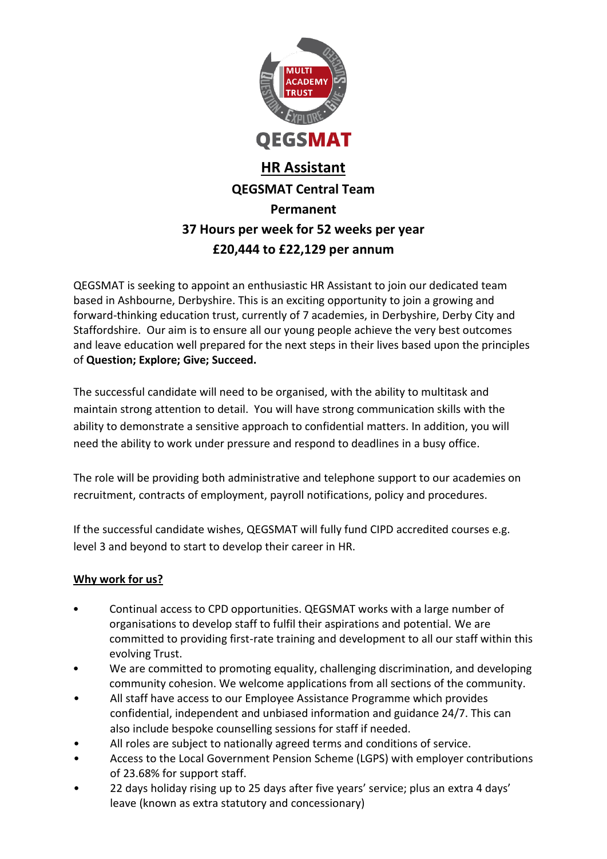

# **HR Assistant QEGSMAT Central Team Permanent 37 Hours per week for 52 weeks per year £20,444 to £22,129 per annum**

QEGSMAT is seeking to appoint an enthusiastic HR Assistant to join our dedicated team based in Ashbourne, Derbyshire. This is an exciting opportunity to join a growing and forward-thinking education trust, currently of 7 academies, in Derbyshire, Derby City and Staffordshire. Our aim is to ensure all our young people achieve the very best outcomes and leave education well prepared for the next steps in their lives based upon the principles of **Question; Explore; Give; Succeed.**

The successful candidate will need to be organised, with the ability to multitask and maintain strong attention to detail. You will have strong communication skills with the ability to demonstrate a sensitive approach to confidential matters. In addition, you will need the ability to work under pressure and respond to deadlines in a busy office.

The role will be providing both administrative and telephone support to our academies on recruitment, contracts of employment, payroll notifications, policy and procedures.

If the successful candidate wishes, QEGSMAT will fully fund CIPD accredited courses e.g. level 3 and beyond to start to develop their career in HR.

### **Why work for us?**

- Continual access to CPD opportunities. QEGSMAT works with a large number of organisations to develop staff to fulfil their aspirations and potential. We are committed to providing first-rate training and development to all our staff within this evolving Trust.
- We are committed to promoting equality, challenging discrimination, and developing community cohesion. We welcome applications from all sections of the community.
- All staff have access to our Employee Assistance Programme which provides confidential, independent and unbiased information and guidance 24/7. This can also include bespoke counselling sessions for staff if needed.
- All roles are subject to nationally agreed terms and conditions of service.
- Access to the Local Government Pension Scheme (LGPS) with employer contributions of 23.68% for support staff.
- 22 days holiday rising up to 25 days after five years' service; plus an extra 4 days' leave (known as extra statutory and concessionary)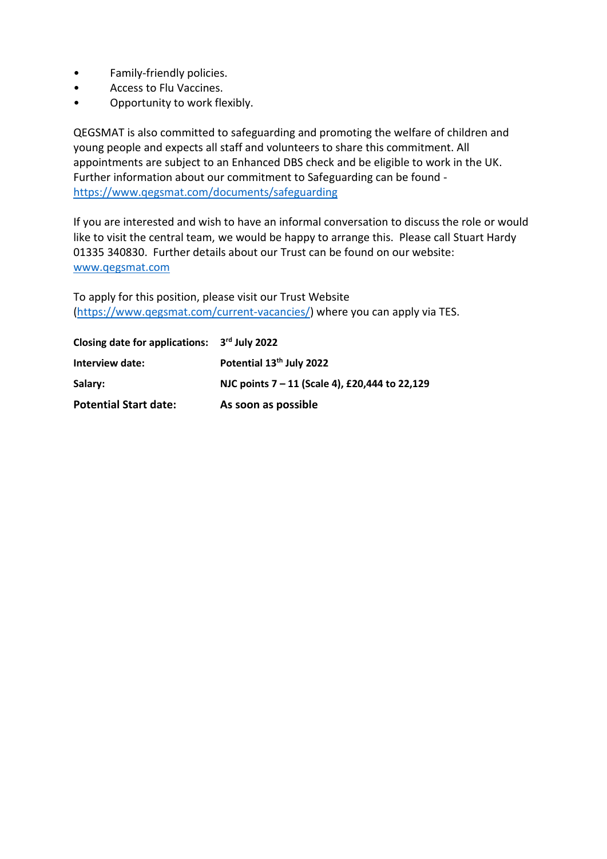- Family-friendly policies.
- Access to Flu Vaccines.
- Opportunity to work flexibly.

QEGSMAT is also committed to safeguarding and promoting the welfare of children and young people and expects all staff and volunteers to share this commitment. All appointments are subject to an Enhanced DBS check and be eligible to work in the UK. Further information about our commitment to Safeguarding can be found <https://www.qegsmat.com/documents/safeguarding>

If you are interested and wish to have an informal conversation to discuss the role or would like to visit the central team, we would be happy to arrange this. Please call Stuart Hardy 01335 340830. Further details about our Trust can be found on our website: [www.qegsmat.com](http://www.qegsmat.com/)

To apply for this position, please visit our Trust Website [\(https://www.qegsmat.com/current-vacancies/\)](https://www.qegsmat.com/current-vacancies/) where you can apply via TES.

| Closing date for applications: 3rd July 2022 |                                                |
|----------------------------------------------|------------------------------------------------|
| Interview date:                              | Potential 13 <sup>th</sup> July 2022           |
| Salary:                                      | NJC points 7 - 11 (Scale 4), £20,444 to 22,129 |
| <b>Potential Start date:</b>                 | As soon as possible                            |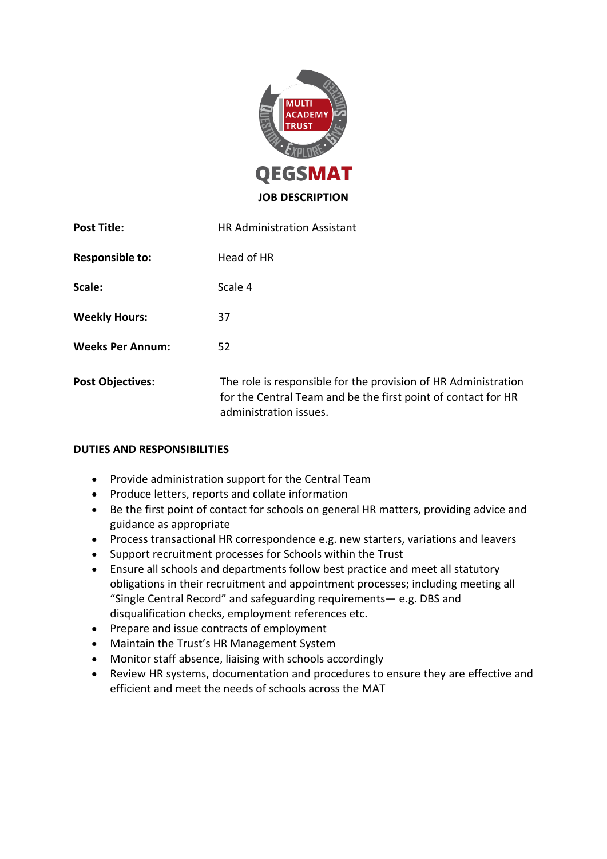

| <b>Post Title:</b>      | <b>HR Administration Assistant</b>                                                                                                                        |
|-------------------------|-----------------------------------------------------------------------------------------------------------------------------------------------------------|
| <b>Responsible to:</b>  | Head of HR                                                                                                                                                |
| Scale:                  | Scale 4                                                                                                                                                   |
| <b>Weekly Hours:</b>    | 37                                                                                                                                                        |
| <b>Weeks Per Annum:</b> | 52                                                                                                                                                        |
| <b>Post Objectives:</b> | The role is responsible for the provision of HR Administration<br>for the Central Team and be the first point of contact for HR<br>administration issues. |

#### **DUTIES AND RESPONSIBILITIES**

- Provide administration support for the Central Team
- Produce letters, reports and collate information
- Be the first point of contact for schools on general HR matters, providing advice and guidance as appropriate
- Process transactional HR correspondence e.g. new starters, variations and leavers
- Support recruitment processes for Schools within the Trust
- Ensure all schools and departments follow best practice and meet all statutory obligations in their recruitment and appointment processes; including meeting all "Single Central Record" and safeguarding requirements— e.g. DBS and disqualification checks, employment references etc.
- Prepare and issue contracts of employment
- Maintain the Trust's HR Management System
- Monitor staff absence, liaising with schools accordingly
- Review HR systems, documentation and procedures to ensure they are effective and efficient and meet the needs of schools across the MAT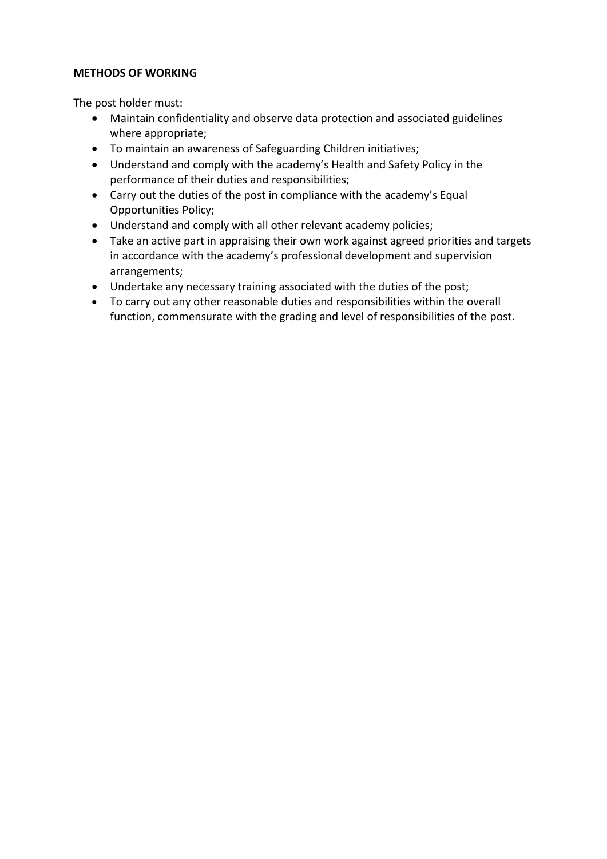#### **METHODS OF WORKING**

The post holder must:

- Maintain confidentiality and observe data protection and associated guidelines where appropriate;
- To maintain an awareness of Safeguarding Children initiatives;
- Understand and comply with the academy's Health and Safety Policy in the performance of their duties and responsibilities;
- Carry out the duties of the post in compliance with the academy's Equal Opportunities Policy;
- Understand and comply with all other relevant academy policies;
- Take an active part in appraising their own work against agreed priorities and targets in accordance with the academy's professional development and supervision arrangements;
- Undertake any necessary training associated with the duties of the post;
- To carry out any other reasonable duties and responsibilities within the overall function, commensurate with the grading and level of responsibilities of the post.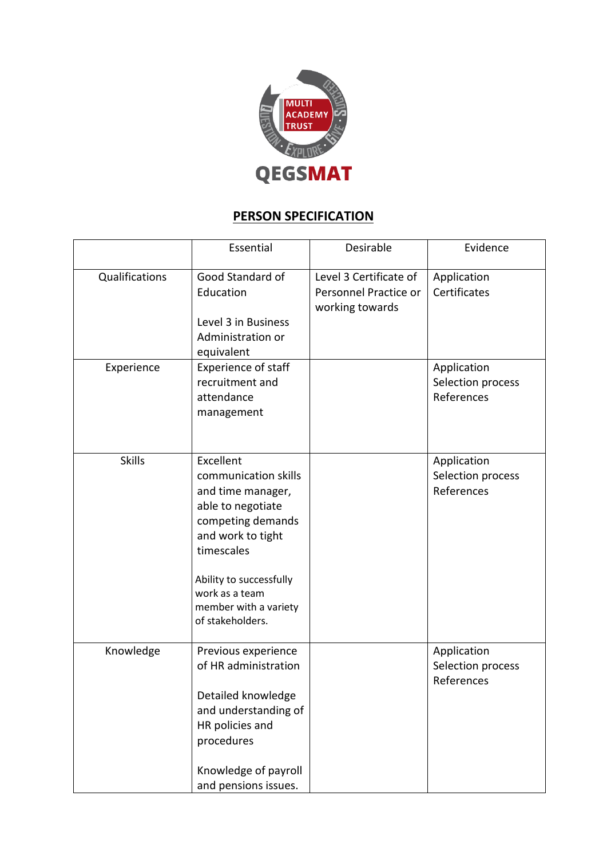

## **PERSON SPECIFICATION**

|                | Essential                                                                                                                                                                                                                     | Desirable                                                          | Evidence                                       |
|----------------|-------------------------------------------------------------------------------------------------------------------------------------------------------------------------------------------------------------------------------|--------------------------------------------------------------------|------------------------------------------------|
| Qualifications | Good Standard of<br>Education<br>Level 3 in Business<br>Administration or<br>equivalent                                                                                                                                       | Level 3 Certificate of<br>Personnel Practice or<br>working towards | Application<br>Certificates                    |
| Experience     | <b>Experience of staff</b><br>recruitment and<br>attendance<br>management                                                                                                                                                     |                                                                    | Application<br>Selection process<br>References |
| <b>Skills</b>  | Excellent<br>communication skills<br>and time manager,<br>able to negotiate<br>competing demands<br>and work to tight<br>timescales<br>Ability to successfully<br>work as a team<br>member with a variety<br>of stakeholders. |                                                                    | Application<br>Selection process<br>References |
| Knowledge      | Previous experience<br>of HR administration<br>Detailed knowledge<br>and understanding of<br>HR policies and<br>procedures<br>Knowledge of payroll<br>and pensions issues.                                                    |                                                                    | Application<br>Selection process<br>References |